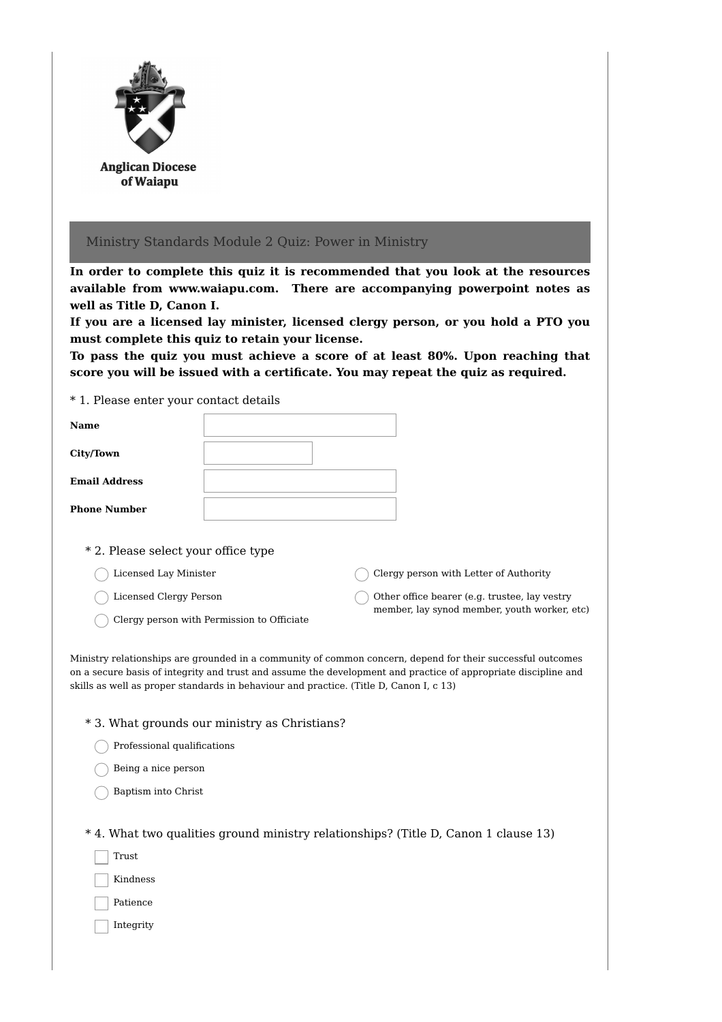

## Ministry Standards Module 2 Quiz: Power in Ministry

**In order to complete this quiz it is recommended that you look at the resources available from www.waiapu.com. There are accompanying powerpoint notes as well as Title D, Canon I.**

**If you are a licensed lay minister, licensed clergy person, or you hold a PTO you must complete this quiz to retain your license.**

**To pass the quiz you must achieve a score of at least 80%. Upon reaching that score you will be issued with a certificate. You may repeat the quiz as required.**

\* 1. Please enter your contact details

| <b>Name</b>          |  |
|----------------------|--|
| <b>City/Town</b>     |  |
| <b>Email Address</b> |  |
| <b>Phone Number</b>  |  |
|                      |  |

\* 2. Please select your office type

- Licensed Lay Minister
- Licensed Clergy Person
- $\bigcap$  Clergy person with Permission to Officiate

Clergy person with Letter of Authority Other office bearer (e.g. trustee, lay vestry

member, lay synod member, youth worker, etc)

Ministry relationships are grounded in a community of common concern, depend for their successful outcomes on a secure basis of integrity and trust and assume the development and practice of appropriate discipline and skills as well as proper standards in behaviour and practice. (Title D, Canon I, c 13)

|  |  |  |  |  |  | * 3. What grounds our ministry as Christians? |
|--|--|--|--|--|--|-----------------------------------------------|
|--|--|--|--|--|--|-----------------------------------------------|

- Professional qualifications
- Being a nice person
- Baptism into Christ

\* 4. What two qualities ground ministry relationships? (Title D, Canon 1 clause 13)

- Trust
- Kindness
- Patience
- Integrity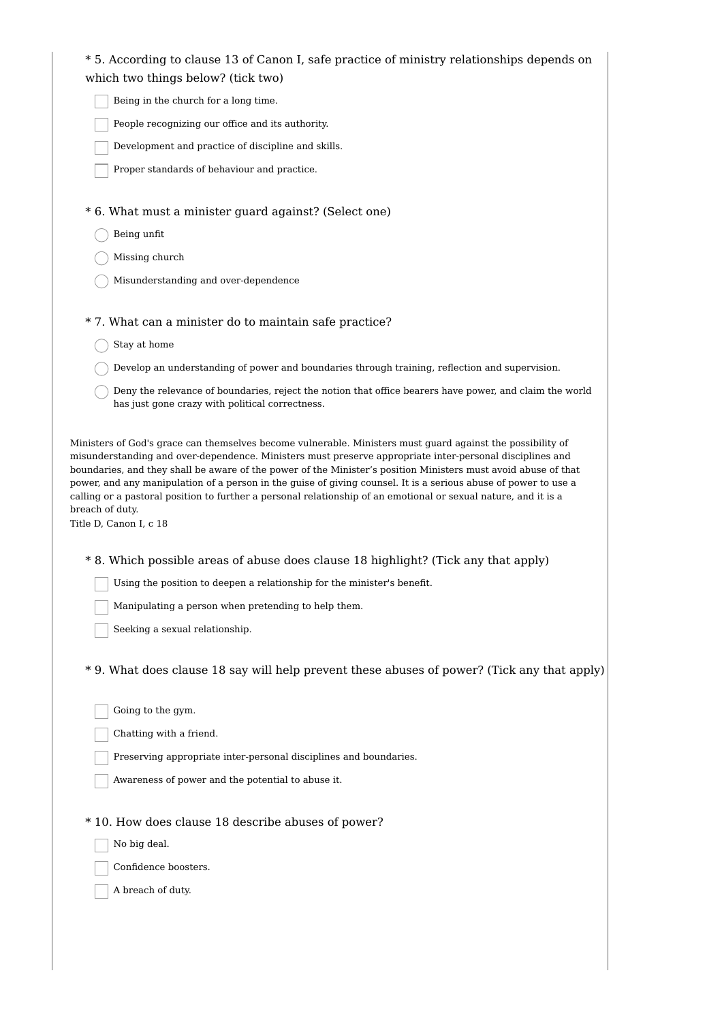| * 5. According to clause 13 of Canon I, safe practice of ministry relationships depends on |  |
|--------------------------------------------------------------------------------------------|--|
| which two things below? (tick two)                                                         |  |

Being in the church for a long time.

People recognizing our office and its authority.

Development and practice of discipline and skills.

Proper standards of behaviour and practice.

\* 6. What must a minister guard against? (Select one)

- $\bigcap$  Being unfit
- Missing church
- Misunderstanding and over-dependence

\* 7. What can a minister do to maintain safe practice?

- Stay at home
- Develop an understanding of power and boundaries through training, reflection and supervision.
- Deny the relevance of boundaries, reject the notion that office bearers have power, and claim the world has just gone crazy with political correctness.

Ministers of God's grace can themselves become vulnerable. Ministers must guard against the possibility of misunderstanding and over-dependence. Ministers must preserve appropriate inter-personal disciplines and boundaries, and they shall be aware of the power of the Minister's position Ministers must avoid abuse of that power, and any manipulation of a person in the guise of giving counsel. It is a serious abuse of power to use a calling or a pastoral position to further a personal relationship of an emotional or sexual nature, and it is a breach of duty.

Title D, Canon I, c 18

\* 8. Which possible areas of abuse does clause 18 highlight? (Tick any that apply)

- Using the position to deepen a relationship for the minister's benefit.
- Manipulating a person when pretending to help them.
- Seeking a sexual relationship.

\* 9. What does clause 18 say will help prevent these abuses of power? (Tick any that apply)

Going to the gym.

Chatting with a friend.

Preserving appropriate inter-personal disciplines and boundaries.

Awareness of power and the potential to abuse it.

\* 10. How does clause 18 describe abuses of power?

No big deal.

Confidence boosters.

A breach of duty.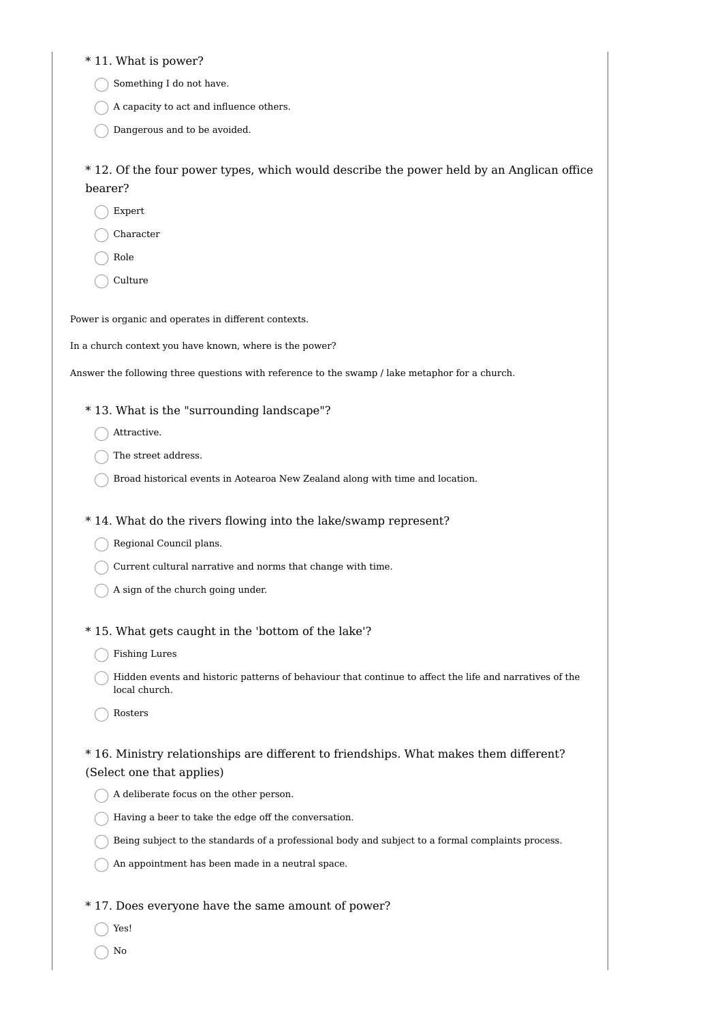\* 11. What is power?

Something I do not have.

 $\bigcap$  A capacity to act and influence others.

Dangerous and to be avoided.

\* 12. Of the four power types, which would describe the power held by an Anglican office bearer?

Expert

Character

- Role
- Culture

Power is organic and operates in different contexts.

In a church context you have known, where is the power?

Answer the following three questions with reference to the swamp / lake metaphor for a church.

#### \* 13. What is the "surrounding landscape"?

- ◯ Attractive.
- The street address.
- $\bigcap$  Broad historical events in Aotearoa New Zealand along with time and location.

\* 14. What do the rivers flowing into the lake/swamp represent?

- Regional Council plans.
- Current cultural narrative and norms that change with time.
- $\bigcap$  A sign of the church going under.
- \* 15. What gets caught in the 'bottom of the lake'?
	- ◯ Fishing Lures
	- Hidden events and historic patterns of behaviour that continue to affect the life and narratives of the local church.
	- Rosters

# \* 16. Ministry relationships are different to friendships. What makes them different? (Select one that applies)

- A deliberate focus on the other person.
- $\bigcap$  Having a beer to take the edge off the conversation.
- Being subject to the standards of a professional body and subject to a formal complaints process.
- $\bigcap$  An appointment has been made in a neutral space.

### \* 17. Does everyone have the same amount of power?

- Yes!
- $\bigcap$  No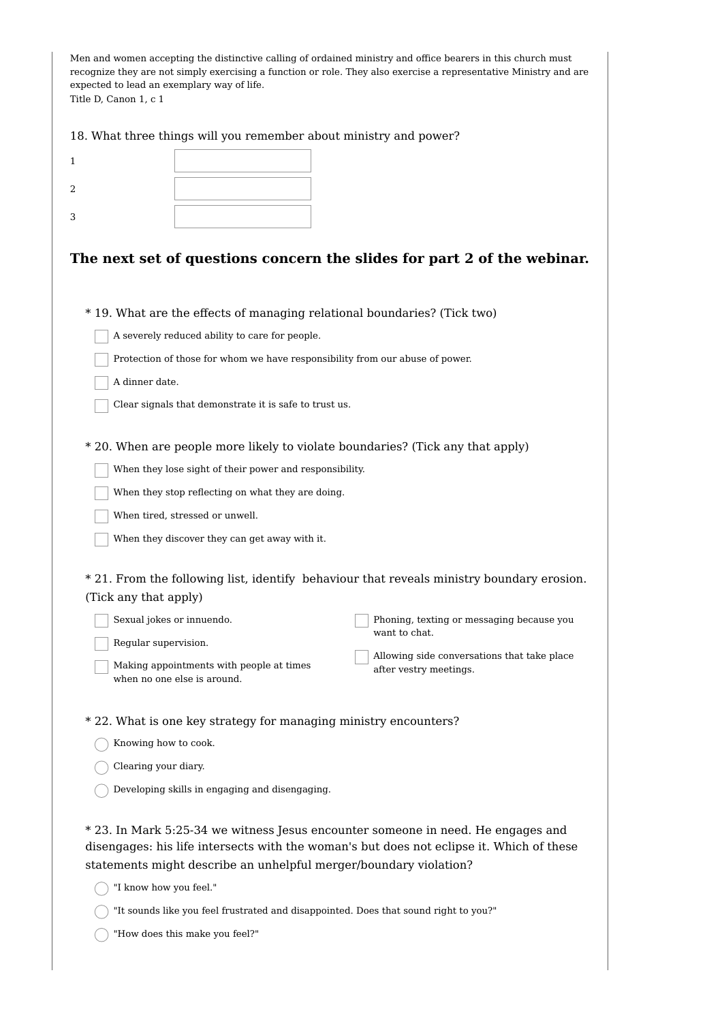| expected to lead an exemplary way of life.<br>Title D, Canon 1, c 1 |                                                                                      | Men and women accepting the distinctive calling of ordained ministry and office bearers in this church must<br>recognize they are not simply exercising a function or role. They also exercise a representative Ministry and are |  |  |  |  |
|---------------------------------------------------------------------|--------------------------------------------------------------------------------------|----------------------------------------------------------------------------------------------------------------------------------------------------------------------------------------------------------------------------------|--|--|--|--|
|                                                                     | 18. What three things will you remember about ministry and power?                    |                                                                                                                                                                                                                                  |  |  |  |  |
| 1                                                                   |                                                                                      |                                                                                                                                                                                                                                  |  |  |  |  |
| 2                                                                   |                                                                                      |                                                                                                                                                                                                                                  |  |  |  |  |
| 3                                                                   |                                                                                      |                                                                                                                                                                                                                                  |  |  |  |  |
|                                                                     |                                                                                      |                                                                                                                                                                                                                                  |  |  |  |  |
|                                                                     |                                                                                      | The next set of questions concern the slides for part 2 of the webinar.                                                                                                                                                          |  |  |  |  |
|                                                                     | *19. What are the effects of managing relational boundaries? (Tick two)              |                                                                                                                                                                                                                                  |  |  |  |  |
|                                                                     | A severely reduced ability to care for people.                                       |                                                                                                                                                                                                                                  |  |  |  |  |
|                                                                     | Protection of those for whom we have responsibility from our abuse of power.         |                                                                                                                                                                                                                                  |  |  |  |  |
| A dinner date.                                                      |                                                                                      |                                                                                                                                                                                                                                  |  |  |  |  |
|                                                                     | Clear signals that demonstrate it is safe to trust us.                               |                                                                                                                                                                                                                                  |  |  |  |  |
|                                                                     |                                                                                      | * 20. When are people more likely to violate boundaries? (Tick any that apply)                                                                                                                                                   |  |  |  |  |
|                                                                     | When they lose sight of their power and responsibility.                              |                                                                                                                                                                                                                                  |  |  |  |  |
|                                                                     | When they stop reflecting on what they are doing.                                    |                                                                                                                                                                                                                                  |  |  |  |  |
|                                                                     | When tired, stressed or unwell.                                                      |                                                                                                                                                                                                                                  |  |  |  |  |
|                                                                     | When they discover they can get away with it.                                        |                                                                                                                                                                                                                                  |  |  |  |  |
| (Tick any that apply)                                               |                                                                                      | * 21. From the following list, identify behaviour that reveals ministry boundary erosion.                                                                                                                                        |  |  |  |  |
|                                                                     | Sexual jokes or innuendo.                                                            | Phoning, texting or messaging because you                                                                                                                                                                                        |  |  |  |  |
| Regular supervision.                                                |                                                                                      | want to chat.                                                                                                                                                                                                                    |  |  |  |  |
|                                                                     | Making appointments with people at times<br>when no one else is around.              | Allowing side conversations that take place<br>after vestry meetings.                                                                                                                                                            |  |  |  |  |
|                                                                     | * 22. What is one key strategy for managing ministry encounters?                     |                                                                                                                                                                                                                                  |  |  |  |  |
| Knowing how to cook.                                                |                                                                                      |                                                                                                                                                                                                                                  |  |  |  |  |
| Clearing your diary.                                                |                                                                                      |                                                                                                                                                                                                                                  |  |  |  |  |
|                                                                     | Developing skills in engaging and disengaging.                                       |                                                                                                                                                                                                                                  |  |  |  |  |
| "I know how you feel."                                              | statements might describe an unhelpful merger/boundary violation?                    | * 23. In Mark 5:25-34 we witness Jesus encounter someone in need. He engages and<br>disengages: his life intersects with the woman's but does not eclipse it. Which of these                                                     |  |  |  |  |
|                                                                     | "It sounds like you feel frustrated and disappointed. Does that sound right to you?" |                                                                                                                                                                                                                                  |  |  |  |  |

"How does this make you feel?"